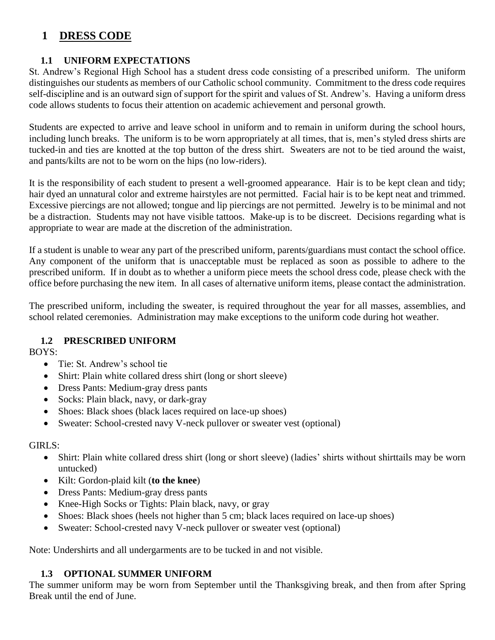# **1 DRESS CODE**

# **1.1 UNIFORM EXPECTATIONS**

St. Andrew's Regional High School has a student dress code consisting of a prescribed uniform. The uniform distinguishes our students as members of our Catholic school community. Commitment to the dress code requires self-discipline and is an outward sign of support for the spirit and values of St. Andrew's. Having a uniform dress code allows students to focus their attention on academic achievement and personal growth.

Students are expected to arrive and leave school in uniform and to remain in uniform during the school hours, including lunch breaks. The uniform is to be worn appropriately at all times, that is, men's styled dress shirts are tucked-in and ties are knotted at the top button of the dress shirt. Sweaters are not to be tied around the waist, and pants/kilts are not to be worn on the hips (no low-riders).

It is the responsibility of each student to present a well-groomed appearance. Hair is to be kept clean and tidy; hair dyed an unnatural color and extreme hairstyles are not permitted. Facial hair is to be kept neat and trimmed. Excessive piercings are not allowed; tongue and lip piercings are not permitted. Jewelry is to be minimal and not be a distraction. Students may not have visible tattoos. Make-up is to be discreet. Decisions regarding what is appropriate to wear are made at the discretion of the administration.

If a student is unable to wear any part of the prescribed uniform, parents/guardians must contact the school office. Any component of the uniform that is unacceptable must be replaced as soon as possible to adhere to the prescribed uniform. If in doubt as to whether a uniform piece meets the school dress code, please check with the office before purchasing the new item. In all cases of alternative uniform items, please contact the administration.

The prescribed uniform, including the sweater, is required throughout the year for all masses, assemblies, and school related ceremonies. Administration may make exceptions to the uniform code during hot weather.

## **1.2 PRESCRIBED UNIFORM**

BOYS:

- Tie: St. Andrew's school tie
- Shirt: Plain white collared dress shirt (long or short sleeve)
- Dress Pants: Medium-gray dress pants
- Socks: Plain black, navy, or dark-gray
- Shoes: Black shoes (black laces required on lace-up shoes)
- Sweater: School-crested navy V-neck pullover or sweater vest (optional)

## GIRLS:

- Shirt: Plain white collared dress shirt (long or short sleeve) (ladies' shirts without shirttails may be worn untucked)
- Kilt: Gordon-plaid kilt (**to the knee**)
- Dress Pants: Medium-gray dress pants
- Knee-High Socks or Tights: Plain black, navy, or gray
- Shoes: Black shoes (heels not higher than 5 cm; black laces required on lace-up shoes)
- Sweater: School-crested navy V-neck pullover or sweater vest (optional)

Note: Undershirts and all undergarments are to be tucked in and not visible.

## **1.3 OPTIONAL SUMMER UNIFORM**

The summer uniform may be worn from September until the Thanksgiving break, and then from after Spring Break until the end of June.